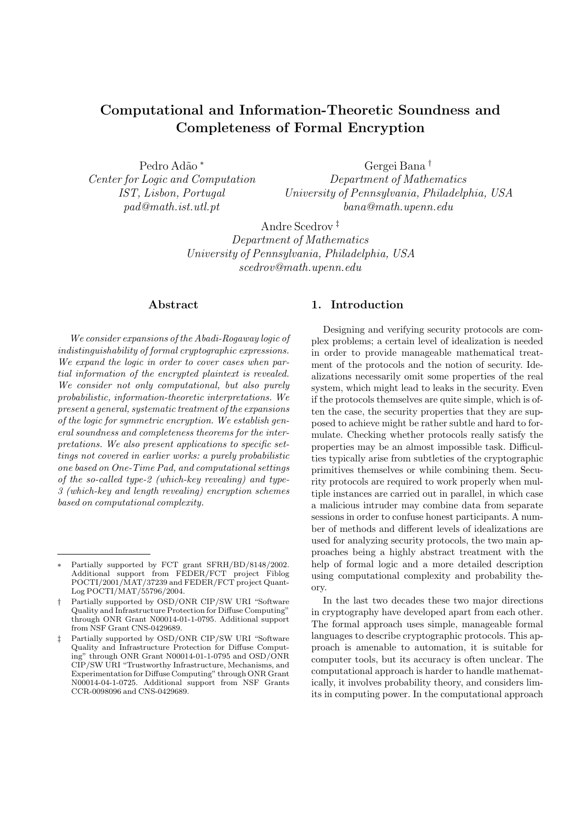# Computational and Information-Theoretic Soundness and Completeness of Formal Encryption

Pedro Adão \* Center for Logic and Computation IST, Lisbon, Portugal pad@math.ist.utl.pt

Gergei Bana † Department of Mathematics University of Pennsylvania, Philadelphia, USA bana@math.upenn.edu

Andre Scedrov ‡ Department of Mathematics University of Pennsylvania, Philadelphia, USA scedrov@math.upenn.edu

## Abstract

We consider expansions of the Abadi-Rogaway logic of indistinguishability of formal cryptographic expressions. We expand the logic in order to cover cases when partial information of the encrypted plaintext is revealed. We consider not only computational, but also purely probabilistic, information-theoretic interpretations. We present a general, systematic treatment of the expansions of the logic for symmetric encryption. We establish general soundness and completeness theorems for the interpretations. We also present applications to specific settings not covered in earlier works: a purely probabilistic one based on One-Time Pad, and computational settings of the so-called type-2 (which-key revealing) and type-3 (which-key and length revealing) encryption schemes based on computational complexity.

# 1. Introduction

Designing and verifying security protocols are complex problems; a certain level of idealization is needed in order to provide manageable mathematical treatment of the protocols and the notion of security. Idealizations necessarily omit some properties of the real system, which might lead to leaks in the security. Even if the protocols themselves are quite simple, which is often the case, the security properties that they are supposed to achieve might be rather subtle and hard to formulate. Checking whether protocols really satisfy the properties may be an almost impossible task. Difficulties typically arise from subtleties of the cryptographic primitives themselves or while combining them. Security protocols are required to work properly when multiple instances are carried out in parallel, in which case a malicious intruder may combine data from separate sessions in order to confuse honest participants. A number of methods and different levels of idealizations are used for analyzing security protocols, the two main approaches being a highly abstract treatment with the help of formal logic and a more detailed description using computational complexity and probability theory.

In the last two decades these two major directions in cryptography have developed apart from each other. The formal approach uses simple, manageable formal languages to describe cryptographic protocols. This approach is amenable to automation, it is suitable for computer tools, but its accuracy is often unclear. The computational approach is harder to handle mathematically, it involves probability theory, and considers limits in computing power. In the computational approach

Partially supported by FCT grant SFRH/BD/8148/2002. Additional support from FEDER/FCT project Fiblog POCTI/2001/MAT/37239 and FEDER/FCT project Quant-Log POCTI/MAT/55796/2004.

<sup>†</sup> Partially supported by OSD/ONR CIP/SW URI "Software Quality and Infrastructure Protection for Diffuse Computing" through ONR Grant N00014-01-1-0795. Additional support from NSF Grant CNS-0429689.

<sup>‡</sup> Partially supported by OSD/ONR CIP/SW URI "Software Quality and Infrastructure Protection for Diffuse Computing" through ONR Grant N00014-01-1-0795 and OSD/ONR CIP/SW URI "Trustworthy Infrastructure, Mechanisms, and Experimentation for Diffuse Computing" through ONR Grant N00014-04-1-0725. Additional support from NSF Grants CCR-0098096 and CNS-0429689.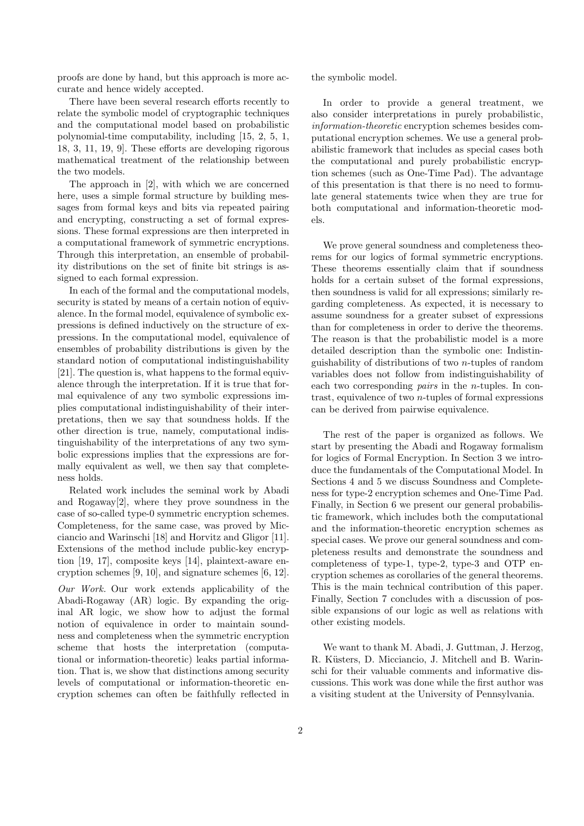proofs are done by hand, but this approach is more accurate and hence widely accepted.

There have been several research efforts recently to relate the symbolic model of cryptographic techniques and the computational model based on probabilistic polynomial-time computability, including [15, 2, 5, 1, 18, 3, 11, 19, 9]. These efforts are developing rigorous mathematical treatment of the relationship between the two models.

The approach in [2], with which we are concerned here, uses a simple formal structure by building messages from formal keys and bits via repeated pairing and encrypting, constructing a set of formal expressions. These formal expressions are then interpreted in a computational framework of symmetric encryptions. Through this interpretation, an ensemble of probability distributions on the set of finite bit strings is assigned to each formal expression.

In each of the formal and the computational models, security is stated by means of a certain notion of equivalence. In the formal model, equivalence of symbolic expressions is defined inductively on the structure of expressions. In the computational model, equivalence of ensembles of probability distributions is given by the standard notion of computational indistinguishability [21]. The question is, what happens to the formal equivalence through the interpretation. If it is true that formal equivalence of any two symbolic expressions implies computational indistinguishability of their interpretations, then we say that soundness holds. If the other direction is true, namely, computational indistinguishability of the interpretations of any two symbolic expressions implies that the expressions are formally equivalent as well, we then say that completeness holds.

Related work includes the seminal work by Abadi and Rogaway[2], where they prove soundness in the case of so-called type-0 symmetric encryption schemes. Completeness, for the same case, was proved by Micciancio and Warinschi [18] and Horvitz and Gligor [11]. Extensions of the method include public-key encryption [19, 17], composite keys [14], plaintext-aware encryption schemes [9, 10], and signature schemes [6, 12].

Our Work. Our work extends applicability of the Abadi-Rogaway (AR) logic. By expanding the original AR logic, we show how to adjust the formal notion of equivalence in order to maintain soundness and completeness when the symmetric encryption scheme that hosts the interpretation (computational or information-theoretic) leaks partial information. That is, we show that distinctions among security levels of computational or information-theoretic encryption schemes can often be faithfully reflected in the symbolic model.

In order to provide a general treatment, we also consider interpretations in purely probabilistic, information-theoretic encryption schemes besides computational encryption schemes. We use a general probabilistic framework that includes as special cases both the computational and purely probabilistic encryption schemes (such as One-Time Pad). The advantage of this presentation is that there is no need to formulate general statements twice when they are true for both computational and information-theoretic models.

We prove general soundness and completeness theorems for our logics of formal symmetric encryptions. These theorems essentially claim that if soundness holds for a certain subset of the formal expressions, then soundness is valid for all expressions; similarly regarding completeness. As expected, it is necessary to assume soundness for a greater subset of expressions than for completeness in order to derive the theorems. The reason is that the probabilistic model is a more detailed description than the symbolic one: Indistinguishability of distributions of two n-tuples of random variables does not follow from indistinguishability of each two corresponding pairs in the n-tuples. In contrast, equivalence of two n-tuples of formal expressions can be derived from pairwise equivalence.

The rest of the paper is organized as follows. We start by presenting the Abadi and Rogaway formalism for logics of Formal Encryption. In Section 3 we introduce the fundamentals of the Computational Model. In Sections 4 and 5 we discuss Soundness and Completeness for type-2 encryption schemes and One-Time Pad. Finally, in Section 6 we present our general probabilistic framework, which includes both the computational and the information-theoretic encryption schemes as special cases. We prove our general soundness and completeness results and demonstrate the soundness and completeness of type-1, type-2, type-3 and OTP encryption schemes as corollaries of the general theorems. This is the main technical contribution of this paper. Finally, Section 7 concludes with a discussion of possible expansions of our logic as well as relations with other existing models.

We want to thank M. Abadi, J. Guttman, J. Herzog, R. Küsters, D. Micciancio, J. Mitchell and B. Warinschi for their valuable comments and informative discussions. This work was done while the first author was a visiting student at the University of Pennsylvania.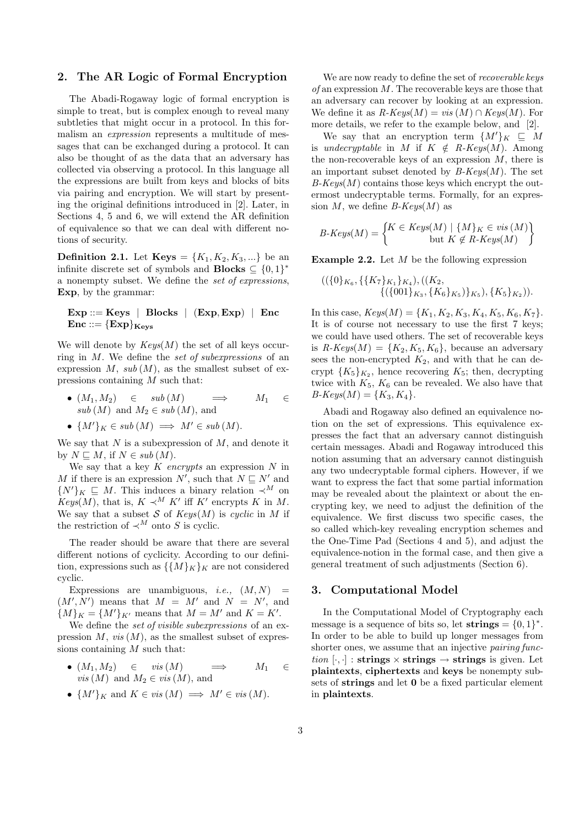## 2. The AR Logic of Formal Encryption

The Abadi-Rogaway logic of formal encryption is simple to treat, but is complex enough to reveal many subtleties that might occur in a protocol. In this formalism an expression represents a multitude of messages that can be exchanged during a protocol. It can also be thought of as the data that an adversary has collected via observing a protocol. In this language all the expressions are built from keys and blocks of bits via pairing and encryption. We will start by presenting the original definitions introduced in [2]. Later, in Sections 4, 5 and 6, we will extend the AR definition of equivalence so that we can deal with different notions of security.

**Definition 2.1.** Let **Keys** =  $\{K_1, K_2, K_3, ...\}$  be an infinite discrete set of symbols and **Blocks**  $\subseteq \{0,1\}^*$ a nonempty subset. We define the set of expressions, Exp, by the grammar:

 $Exp ::= Keys \mid Blocks \mid (Exp, Exp) \mid Enc$  $Enc ::= {Exp}_{Kevs}$ 

We will denote by  $Keys(M)$  the set of all keys occurring in M. We define the set of subexpressions of an expression  $M$ ,  $sub(M)$ , as the smallest subset of expressions containing M such that:

• 
$$
(M_1, M_2) \in sub(M)
$$
  $\implies$   $M_1 \in sub(M)$  and  $M_2 \in sub(M)$ , and

• 
$$
{M'}_K \in sub(M) \implies M' \in sub(M)
$$
.

We say that  $N$  is a subexpression of  $M$ , and denote it by  $N \sqsubseteq M$ , if  $N \in sub(M)$ .

We say that a key  $K$  encrypts an expression  $N$  in M if there is an expression  $N'$ , such that  $N \subseteq N'$  and  $\{N'\}_K \subseteq M$ . This induces a binary relation  $\prec^M$  on  $Keys(M)$ , that is,  $K \prec^M K'$  iff K' encrypts K in M. We say that a subset S of  $Keys(M)$  is cyclic in M if the restriction of  $\prec^M$  onto S is cyclic.

The reader should be aware that there are several different notions of cyclicity. According to our definition, expressions such as  $\{\{M\}_K\}_K$  are not considered cyclic.

Expressions are unambiguous, *i.e.*,  $(M, N)$  =  $(M', N')$  means that  $M = M'$  and  $N = N'$ , and  ${M}_{K} = {M'}_{K'}$  means that  $M = M'$  and  $K = K'.$ 

We define the set of visible subexpressions of an expression  $M$ , vis  $(M)$ , as the smallest subset of expressions containing  $M$  such that:

• 
$$
(M_1, M_2) \in vis(M)
$$
  $\implies$   $M_1 \in$   
*vis*  $(M)$  and  $M_2 \in vis(M)$ , and

•  $\{M'\}_K$  and  $K \in vis(M) \implies M' \in vis(M)$ .

We are now ready to define the set of *recoverable keys*  $of$  an expression  $M$ . The recoverable keys are those that an adversary can recover by looking at an expression. We define it as  $R\text{-}Keys(M) = vis(M) \cap Keys(M)$ . For more details, we refer to the example below, and [2].

We say that an encryption term  $\{M'\}_K \subseteq M$ is undecryptable in M if  $K \notin R\text{-}Keys(M)$ . Among the non-recoverable keys of an expression  $M$ , there is an important subset denoted by  $B\text{-}Keys(M)$ . The set  $B-Keys(M)$  contains those keys which encrypt the outermost undecryptable terms. Formally, for an expression  $M$ , we define  $B$ - $Keys(M)$  as

$$
B\text{-}Keys(M) = \begin{cases} K \in Keys(M) \mid \{M\}_K \in vis(M) \\ \text{but } K \not\in R\text{-}Keys(M) \end{cases}
$$

**Example 2.2.** Let  $M$  be the following expression

$$
((\{0\}_{K_6}, \{\{K_7\}_{K_1}\}_{K_4}), ((K_2, \{\{\{001\}_{K_3}, \{K_6\}_{K_5})\}_{K_5}), \{K_5\}_{K_2})).
$$

In this case,  $Keys(M) = \{K_1, K_2, K_3, K_4, K_5, K_6, K_7\}.$ It is of course not necessary to use the first 7 keys; we could have used others. The set of recoverable keys is  $R\text{-}Keys(M) = \{K_2, K_5, K_6\}$ , because an adversary sees the non-encrypted  $K_2$ , and with that he can decrypt  $\{K_5\}_{K_2}$ , hence recovering  $K_5$ ; then, decrypting twice with  $K_5$ ,  $K_6$  can be revealed. We also have that  $B\text{-}Keys(M) = \{K_3, K_4\}.$ 

Abadi and Rogaway also defined an equivalence notion on the set of expressions. This equivalence expresses the fact that an adversary cannot distinguish certain messages. Abadi and Rogaway introduced this notion assuming that an adversary cannot distinguish any two undecryptable formal ciphers. However, if we want to express the fact that some partial information may be revealed about the plaintext or about the encrypting key, we need to adjust the definition of the equivalence. We first discuss two specific cases, the so called which-key revealing encryption schemes and the One-Time Pad (Sections 4 and 5), and adjust the equivalence-notion in the formal case, and then give a general treatment of such adjustments (Section 6).

#### 3. Computational Model

In the Computational Model of Cryptography each message is a sequence of bits so, let strings =  $\{0,1\}^*$ . In order to be able to build up longer messages from shorter ones, we assume that an injective *pairing func*tion  $[\cdot, \cdot]$ : strings  $\times$  strings  $\rightarrow$  strings is given. Let plaintexts, ciphertexts and keys be nonempty subsets of strings and let 0 be a fixed particular element in plaintexts.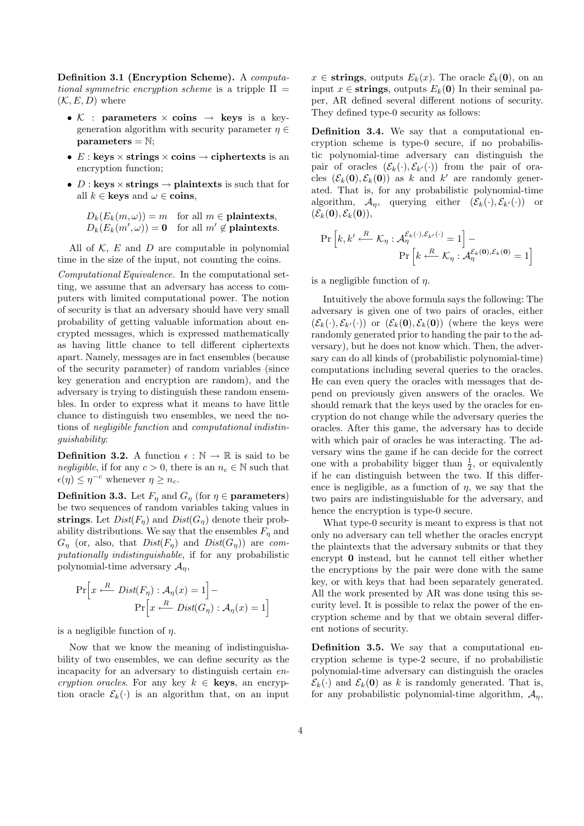Definition 3.1 (Encryption Scheme). A computational symmetric encryption scheme is a tripple  $\Pi =$  $(\mathcal{K}, E, D)$  where

- K : parameters  $\times$  coins  $\rightarrow$  keys is a keygeneration algorithm with security parameter  $\eta \in$  $parameters = N;$
- $E: \text{keys} \times \text{strings} \times \text{coins} \rightarrow \text{ciphertexts}$  is an encryption function;
- $D: \textbf{keys} \times \textbf{strings} \rightarrow \textbf{plaintext} \textbf{sis} \text{ such that for}$ all  $k \in \textbf{keys}$  and  $\omega \in \textbf{coins}$ ,

 $D_k(E_k(m,\omega)) = m$  for all  $m \in$  plaintexts,  $D_k(E_k(m',\omega)) = 0$  for all  $m' \notin$  plaintexts.

All of  $K$ ,  $E$  and  $D$  are computable in polynomial time in the size of the input, not counting the coins.

Computational Equivalence. In the computational setting, we assume that an adversary has access to computers with limited computational power. The notion of security is that an adversary should have very small probability of getting valuable information about encrypted messages, which is expressed mathematically as having little chance to tell different ciphertexts apart. Namely, messages are in fact ensembles (because of the security parameter) of random variables (since key generation and encryption are random), and the adversary is trying to distinguish these random ensembles. In order to express what it means to have little chance to distinguish two ensembles, we need the notions of negligible function and computational indistinguishability:

**Definition 3.2.** A function  $\epsilon : \mathbb{N} \to \mathbb{R}$  is said to be negligible, if for any  $c > 0$ , there is an  $n_c \in \mathbb{N}$  such that  $\epsilon(\eta) \leq \eta^{-c}$  whenever  $\eta \geq n_c$ .

**Definition 3.3.** Let  $F_{\eta}$  and  $G_{\eta}$  (for  $\eta \in$  parameters) be two sequences of random variables taking values in strings. Let  $Dist(F_n)$  and  $Dist(G_n)$  denote their probability distributions. We say that the ensembles  $F_n$  and  $G_{\eta}$  (or, also, that  $Dist(F_{\eta})$  and  $Dist(G_{\eta}))$  are computationally indistinguishable, if for any probabilistic polynomial-time adversary  $A_n$ ,

$$
\Pr\left[x \stackrel{R}{\longleftarrow} Dist(F_{\eta}) : \mathcal{A}_{\eta}(x) = 1\right] -
$$

$$
\Pr\left[x \stackrel{R}{\longleftarrow} Dist(G_{\eta}) : \mathcal{A}_{\eta}(x) = 1\right]
$$

is a negligible function of  $\eta$ .

Now that we know the meaning of indistinguishability of two ensembles, we can define security as the incapacity for an adversary to distinguish certain encryption oracles. For any key  $k \in \textbf{keys}$ , an encryption oracle  $\mathcal{E}_k(\cdot)$  is an algorithm that, on an input

 $x \in$  strings, outputs  $E_k(x)$ . The oracle  $\mathcal{E}_k(0)$ , on an input  $x \in \text{strings}$ , outputs  $E_k(0)$  In their seminal paper, AR defined several different notions of security. They defined type-0 security as follows:

Definition 3.4. We say that a computational encryption scheme is type-0 secure, if no probabilistic polynomial-time adversary can distinguish the pair of oracles  $(\mathcal{E}_k(\cdot), \mathcal{E}_{k'}(\cdot))$  from the pair of oracles  $(\mathcal{E}_k(\mathbf{0}), \mathcal{E}_k(\mathbf{0}))$  as k and k' are randomly generated. That is, for any probabilistic polynomial-time algorithm,  $\mathcal{A}_\eta$ , querying either  $(\mathcal{E}_k(\cdot), \mathcal{E}_{k'}(\cdot))$  or  $(\mathcal{E}_k(\mathbf{0}), \mathcal{E}_k(\mathbf{0})),$ 

$$
\Pr\left[k, k' \stackrel{R}{\longleftarrow} \mathcal{K}_{\eta} : \mathcal{A}_{\eta}^{\mathcal{E}_{k}(\cdot), \mathcal{E}_{k'}(\cdot)} = 1\right] -
$$

$$
\Pr\left[k \stackrel{R}{\longleftarrow} \mathcal{K}_{\eta} : \mathcal{A}_{\eta}^{\mathcal{E}_{k}(\mathbf{0}), \mathcal{E}_{k}(\mathbf{0})} = 1\right]
$$

is a negligible function of  $\eta$ .

Intuitively the above formula says the following: The adversary is given one of two pairs of oracles, either  $(\mathcal{E}_k(\cdot), \mathcal{E}_{k'}(\cdot))$  or  $(\mathcal{E}_k(0), \mathcal{E}_k(0))$  (where the keys were randomly generated prior to handing the pair to the adversary), but he does not know which. Then, the adversary can do all kinds of (probabilistic polynomial-time) computations including several queries to the oracles. He can even query the oracles with messages that depend on previously given answers of the oracles. We should remark that the keys used by the oracles for encryption do not change while the adversary queries the oracles. After this game, the adversary has to decide with which pair of oracles he was interacting. The adversary wins the game if he can decide for the correct one with a probability bigger than  $\frac{1}{2}$ , or equivalently if he can distinguish between the two. If this difference is negligible, as a function of  $\eta$ , we say that the two pairs are indistinguishable for the adversary, and hence the encryption is type-0 secure.

What type-0 security is meant to express is that not only no adversary can tell whether the oracles encrypt the plaintexts that the adversary submits or that they encrypt 0 instead, but he cannot tell either whether the encryptions by the pair were done with the same key, or with keys that had been separately generated. All the work presented by AR was done using this security level. It is possible to relax the power of the encryption scheme and by that we obtain several different notions of security.

Definition 3.5. We say that a computational encryption scheme is type-2 secure, if no probabilistic polynomial-time adversary can distinguish the oracles  $\mathcal{E}_k(\cdot)$  and  $\mathcal{E}_k(\mathbf{0})$  as k is randomly generated. That is, for any probabilistic polynomial-time algorithm,  $A_n$ ,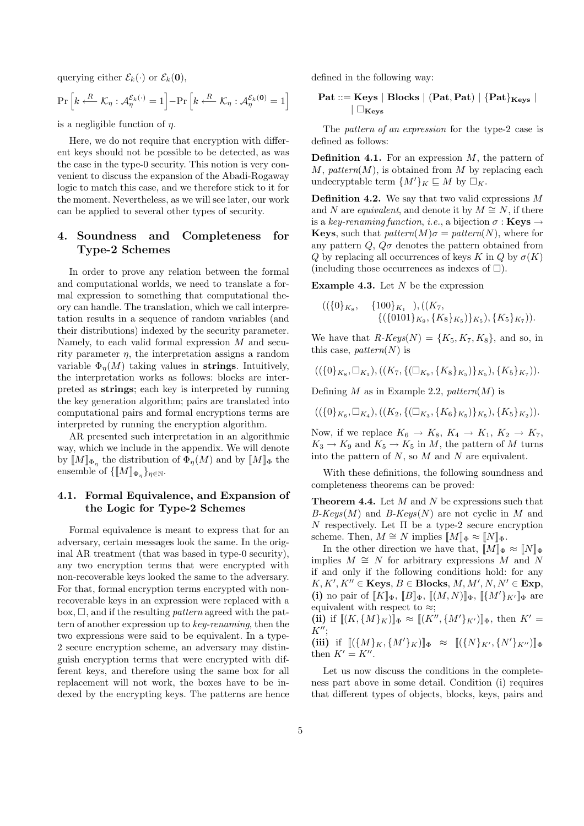querying either  $\mathcal{E}_k(\cdot)$  or  $\mathcal{E}_k(\mathbf{0}),$ 

$$
\Pr\left[k \stackrel{R}{\longleftarrow} \mathcal{K}_{\eta} : \mathcal{A}_{\eta}^{\mathcal{E}_k(\cdot)} = 1\right] - \Pr\left[k \stackrel{R}{\longleftarrow} \mathcal{K}_{\eta} : \mathcal{A}_{\eta}^{\mathcal{E}_k(0)} = 1\right]
$$

is a negligible function of  $\eta$ .

Here, we do not require that encryption with different keys should not be possible to be detected, as was the case in the type-0 security. This notion is very convenient to discuss the expansion of the Abadi-Rogaway logic to match this case, and we therefore stick to it for the moment. Nevertheless, as we will see later, our work can be applied to several other types of security.

# 4. Soundness and Completeness for Type-2 Schemes

In order to prove any relation between the formal and computational worlds, we need to translate a formal expression to something that computational theory can handle. The translation, which we call interpretation results in a sequence of random variables (and their distributions) indexed by the security parameter. Namely, to each valid formal expression  $M$  and security parameter  $\eta$ , the interpretation assigns a random variable  $\Phi_n(M)$  taking values in strings. Intuitively, the interpretation works as follows: blocks are interpreted as strings; each key is interpreted by running the key generation algorithm; pairs are translated into computational pairs and formal encryptions terms are interpreted by running the encryption algorithm.

AR presented such interpretation in an algorithmic way, which we include in the appendix. We will denote by  $\llbracket M \rrbracket_{\Phi_{\eta}}$  the distribution of  $\Phi_{\eta}(M)$  and by  $\llbracket M \rrbracket_{\Phi}$  the ensemble of  $\{\llbracket M \rrbracket_{\Phi_{\eta}}\}_{\eta \in \mathbb{N}}$ .

## 4.1. Formal Equivalence, and Expansion of the Logic for Type-2 Schemes

Formal equivalence is meant to express that for an adversary, certain messages look the same. In the original AR treatment (that was based in type-0 security), any two encryption terms that were encrypted with non-recoverable keys looked the same to the adversary. For that, formal encryption terms encrypted with nonrecoverable keys in an expression were replaced with a box,  $\Box$ , and if the resulting *pattern* agreed with the pattern of another expression up to key-renaming, then the two expressions were said to be equivalent. In a type-2 secure encryption scheme, an adversary may distinguish encryption terms that were encrypted with different keys, and therefore using the same box for all replacement will not work, the boxes have to be indexed by the encrypting keys. The patterns are hence defined in the following way:

$$
\begin{array}{c} \textbf{Pat} ::= \textbf{Keys} \mid \textbf{Blocks} \mid (\textbf{Pat}, \textbf{Pat}) \mid \{\textbf{Pat}\}_{\textbf{Keys}} \mid \\qquad \qquad \mid \Box_{\textbf{Keys}} \end{array}
$$

The *pattern of an expression* for the type-2 case is defined as follows:

**Definition 4.1.** For an expression  $M$ , the pattern of  $M$ , pattern $(M)$ , is obtained from M by replacing each undecryptable term  $\{M'\}_K \sqsubseteq M$  by  $\square_K$ .

**Definition 4.2.** We say that two valid expressions  $M$ and N are *equivalent*, and denote it by  $M \cong N$ , if there is a key-renaming function, i.e., a bijection  $\sigma : \mathbf{Kevs} \rightarrow$ **Keys**, such that  $pattern(M)\sigma = pattern(N)$ , where for any pattern  $Q$ ,  $Q\sigma$  denotes the pattern obtained from Q by replacing all occurrences of keys K in Q by  $\sigma(K)$ (including those occurrences as indexes of  $\square$ ).

**Example 4.3.** Let  $N$  be the expression

$$
((\{0\}_{K_8}, \{100\}_{K_1}), ((K_7, \{(\{0101\}_{K_9}, \{K_8\}_{K_5})\}_{K_5}), \{K_5\}_{K_7})).
$$

We have that  $R\text{-}Keys(N) = \{K_5, K_7, K_8\}$ , and so, in this case, *pattern(N)* is

$$
((\{0\}_{K_8}, \Box_{K_1}), ((K_7, \{(\Box_{K_9}, \{K_8\}_{K_5})\}_{K_5}), \{K_5\}_{K_7})).
$$

Defining M as in Example 2.2, pattern $(M)$  is

$$
((\{0\}_{K_6},\Box_{K_4}),((K_2,\{(\Box_{K_3},\{K_6\}_{K_5})\}_{K_5}),\{K_5\}_{K_2})).
$$

Now, if we replace  $K_6 \rightarrow K_8, K_4 \rightarrow K_1, K_2 \rightarrow K_7$ ,  $K_3 \to K_9$  and  $K_5 \to K_5$  in M, the pattern of M turns into the pattern of  $N$ , so  $M$  and  $N$  are equivalent.

With these definitions, the following soundness and completeness theorems can be proved:

**Theorem 4.4.** Let  $M$  and  $N$  be expressions such that  $B-Keys(M)$  and  $B-Keys(N)$  are not cyclic in M and N respectively. Let  $\Pi$  be a type-2 secure encryption scheme. Then,  $M \cong N$  implies  $[M]_{\Phi} \approx [N]_{\Phi}$ .

In the other direction we have that,  $[M]_{\Phi} \approx [N]_{\Phi}$ implies  $M \cong N$  for arbitrary expressions M and N if and only if the following conditions hold: for any  $K, K', K'' \in \mathbf{Keys}, B \in \mathbf{Blocks}, M, M', N, N' \in \mathbf{Exp},$ (i) no pair of  $[[K]]_{\Phi}$ ,  $[[B]]_{\Phi}$ ,  $[[(M, N)]]_{\Phi}$ ,  $[[\{M'\}_{K'}]]_{\Phi}$  are equivalent with respect to  $\approx$ ; (ii) if  $[(K, {M}_K)]_{\Phi} \approx [(K'', {M'}_K')]_{\Phi}$ , then  $K' =$  $K''$ : (iii) if  $[({M}_{K}, {M'}_{K})]_{\Phi} \approx [({N}_{K'}, {N'}_{K''})]_{\Phi}$ then  $K' = K''$ .

Let us now discuss the conditions in the completeness part above in some detail. Condition (i) requires that different types of objects, blocks, keys, pairs and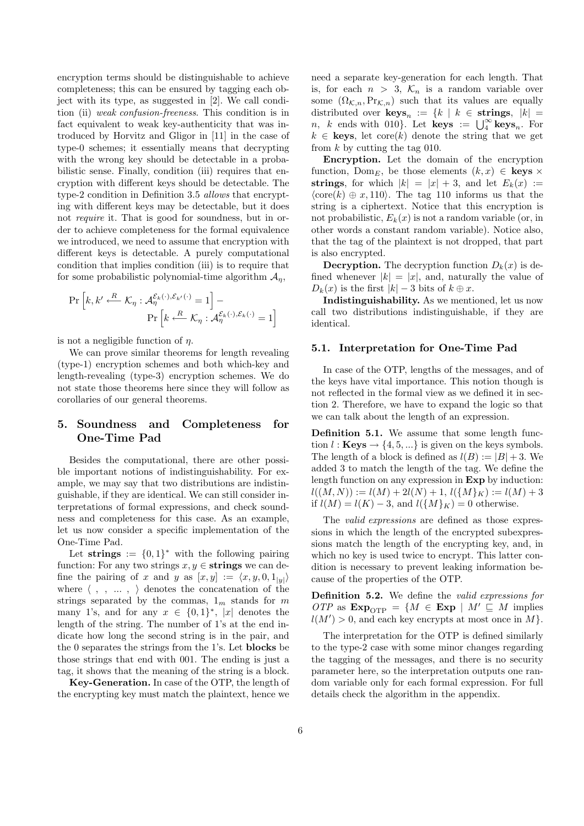encryption terms should be distinguishable to achieve completeness; this can be ensured by tagging each object with its type, as suggested in [2]. We call condition (ii) weak confusion-freeness. This condition is in fact equivalent to weak key-authenticity that was introduced by Horvitz and Gligor in [11] in the case of type-0 schemes; it essentially means that decrypting with the wrong key should be detectable in a probabilistic sense. Finally, condition (iii) requires that encryption with different keys should be detectable. The type-2 condition in Definition 3.5 allows that encrypting with different keys may be detectable, but it does not require it. That is good for soundness, but in order to achieve completeness for the formal equivalence we introduced, we need to assume that encryption with different keys is detectable. A purely computational condition that implies condition (iii) is to require that for some probabilistic polynomial-time algorithm  $\mathcal{A}_n$ ,

$$
\Pr\left[k, k' \stackrel{R}{\longleftarrow} \mathcal{K}_{\eta} : \mathcal{A}_{\eta}^{\mathcal{E}_{k}(\cdot), \mathcal{E}_{k'}(\cdot)} = 1\right] - \Pr\left[k \stackrel{R}{\longleftarrow} \mathcal{K}_{\eta} : \mathcal{A}_{\eta}^{\mathcal{E}_{k}(\cdot), \mathcal{E}_{k}(\cdot)} = 1\right]
$$

is not a negligible function of  $\eta$ .

We can prove similar theorems for length revealing (type-1) encryption schemes and both which-key and length-revealing (type-3) encryption schemes. We do not state those theorems here since they will follow as corollaries of our general theorems.

# 5. Soundness and Completeness for One-Time Pad

Besides the computational, there are other possible important notions of indistinguishability. For example, we may say that two distributions are indistinguishable, if they are identical. We can still consider interpretations of formal expressions, and check soundness and completeness for this case. As an example, let us now consider a specific implementation of the One-Time Pad.

Let strings  $:= \{0,1\}^*$  with the following pairing function: For any two strings  $x, y \in$  strings we can define the pairing of x and y as  $[x, y] := \langle x, y, 0, 1_{|y|} \rangle$ where  $\langle$  , ,  $\ldots$  ,  $\rangle$  denotes the concatenation of the strings separated by the commas,  $1<sub>m</sub>$  stands for m many 1's, and for any  $x \in \{0,1\}^*$ , |x| denotes the length of the string. The number of 1's at the end indicate how long the second string is in the pair, and the 0 separates the strings from the 1's. Let blocks be those strings that end with 001. The ending is just a tag, it shows that the meaning of the string is a block.

Key-Generation. In case of the OTP, the length of the encrypting key must match the plaintext, hence we need a separate key-generation for each length. That is, for each  $n > 3$ ,  $\mathcal{K}_n$  is a random variable over some  $(\Omega_{\mathcal{K},n},\Pr_{\mathcal{K},n})$  such that its values are equally distributed over  $\text{keys}_n := \{k \mid k \in \text{strings}, |k| = \}$ distributed over  $\textbf{keys}_n := \{ \kappa \mid \kappa \in \textbf{strings}, \ |\kappa| = n, \ k \text{ ends with 010} \}.$  Let  $\textbf{keys} := \bigcup_{\alpha}^{\infty} \textbf{keys}_n.$  For  $k \in \textbf{keys}, \text{ let } \text{core}(k) \text{ denote the string that we get}$ from  $k$  by cutting the tag 010.

Encryption. Let the domain of the encryption function,  $Dom_E$ , be those elements  $(k, x) \in \text{keys} \times$ strings, for which  $|k| = |x| + 3$ , and let  $E_k(x) :=$  $\langle \text{core}(k) \oplus x, 110 \rangle$ . The tag 110 informs us that the string is a ciphertext. Notice that this encryption is not probabilistic,  $E_k(x)$  is not a random variable (or, in other words a constant random variable). Notice also, that the tag of the plaintext is not dropped, that part is also encrypted.

**Decryption.** The decryption function  $D_k(x)$  is defined whenever  $|k| = |x|$ , and, naturally the value of  $D_k(x)$  is the first  $|k| - 3$  bits of  $k \oplus x$ .

Indistinguishability. As we mentioned, let us now call two distributions indistinguishable, if they are identical.

#### 5.1. Interpretation for One-Time Pad

In case of the OTP, lengths of the messages, and of the keys have vital importance. This notion though is not reflected in the formal view as we defined it in section 2. Therefore, we have to expand the logic so that we can talk about the length of an expression.

Definition 5.1. We assume that some length function  $l : \textbf{Keys} \rightarrow \{4, 5, ...\}$  is given on the keys symbols. The length of a block is defined as  $l(B) := |B| + 3$ . We added 3 to match the length of the tag. We define the length function on any expression in Exp by induction:  $l((M, N)) := l(M) + 2l(N) + 1, l({M \nmid K}) := l(M) + 3$ if  $l(M) = l(K) - 3$ , and  $l({M}_{K}) = 0$  otherwise.

The valid expressions are defined as those expressions in which the length of the encrypted subexpressions match the length of the encrypting key, and, in which no key is used twice to encrypt. This latter condition is necessary to prevent leaking information because of the properties of the OTP.

Definition 5.2. We define the valid expressions for OTP as  $\text{Exp}_{\text{opp}} = \{M \in \text{Exp} \mid M' \sqsubseteq M \text{ implies}$  $l(M') > 0$ , and each key encrypts at most once in M.

The interpretation for the OTP is defined similarly to the type-2 case with some minor changes regarding the tagging of the messages, and there is no security parameter here, so the interpretation outputs one random variable only for each formal expression. For full details check the algorithm in the appendix.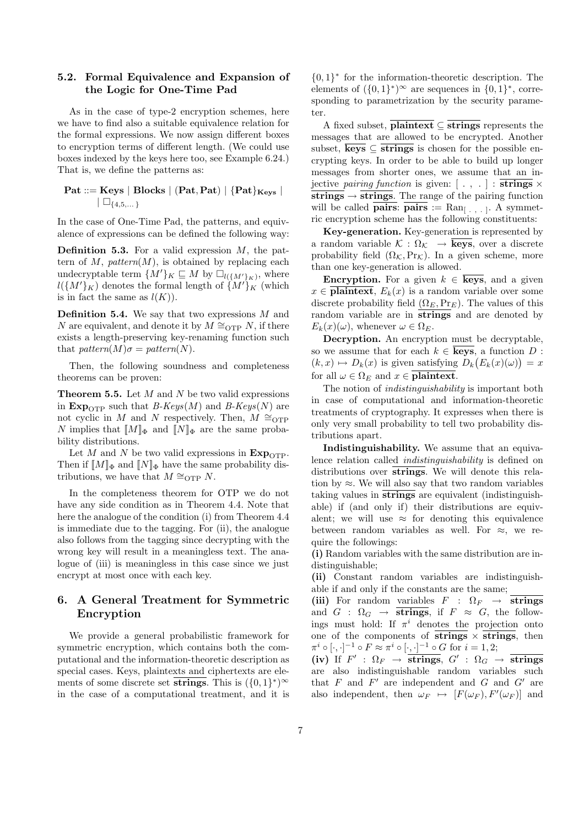## 5.2. Formal Equivalence and Expansion of the Logic for One-Time Pad

As in the case of type-2 encryption schemes, here we have to find also a suitable equivalence relation for the formal expressions. We now assign different boxes to encryption terms of different length. (We could use boxes indexed by the keys here too, see Example 6.24.) That is, we define the patterns as:

$$
\begin{array}{c} \textbf{Pat} ::= \textbf{Keys} \mid \textbf{Blocks} \mid (\textbf{Pat}, \textbf{Pat}) \mid \{\textbf{Pat}\}_{\textbf{Keys}} \mid \\ \mid \Box_{\{4,5,...\}} \end{array}
$$

In the case of One-Time Pad, the patterns, and equivalence of expressions can be defined the following way:

**Definition 5.3.** For a valid expression  $M$ , the pattern of  $M$ ,  $pattern(M)$ , is obtained by replacing each undecryptable term  $\{M'\}_K \sqsubseteq M$  by  $\square_{l(\{M'\}_K)}$ , where  $l({M'}_K)$  denotes the formal length of  ${M'}_K$  (which is in fact the same as  $l(K)$ ).

**Definition 5.4.** We say that two expressions  $M$  and N are equivalent, and denote it by  $M \cong_{\text{OTP}} N$ , if there exists a length-preserving key-renaming function such that  $pattern(M)\sigma = pattern(N)$ .

Then, the following soundness and completeness theorems can be proven:

**Theorem 5.5.** Let  $M$  and  $N$  be two valid expressions in  $\text{Exp}_{\text{OTP}}$  such that B-Keys(M) and B-Keys(N) are not cyclic in M and N respectively. Then,  $M \cong_{\text{OTP}}$ N implies that  $[M]_{\Phi}$  and  $[M]_{\Phi}$  are the same probability distributions.

Let M and N be two valid expressions in  $\text{Exp}_{\text{OTP}}$ . Then if  $[M]_{\Phi}$  and  $[M]_{\Phi}$  have the same probability distributions, we have that  $M \cong_{\text{OTP}} N$ .

In the completeness theorem for OTP we do not have any side condition as in Theorem 4.4. Note that here the analogue of the condition (i) from Theorem 4.4 is immediate due to the tagging. For (ii), the analogue also follows from the tagging since decrypting with the wrong key will result in a meaningless text. The analogue of (iii) is meaningless in this case since we just encrypt at most once with each key.

# 6. A General Treatment for Symmetric Encryption

We provide a general probabilistic framework for symmetric encryption, which contains both the computational and the information-theoretic description as special cases. Keys, plaintexts and ciphertexts are elements of some discrete set  $\overline{strings}$ . This is  $({0,1}^*)^{\infty}$ in the case of a computational treatment, and it is

 ${0,1}^*$  for the information-theoretic description. The elements of  $({0,1}^*)^{\infty}$  are sequences in  ${0,1}^*$ , corresponding to parametrization by the security parameter.

A fixed subset,  $\overline{\text{plaintext}} \subset \overline{\text{strings}}$  represents the messages that are allowed to be encrypted. Another subset,  $\overline{\text{keys}} \subseteq \overline{\text{strings}}$  is chosen for the possible encrypting keys. In order to be able to build up longer messages from shorter ones, we assume that an injective pairing function is given:  $[\cdot, \cdot] : \text{strings} \times$  $s$ trings  $\rightarrow$  strings. The range of the pairing function will be called **pairs: pairs :**  $\text{Ran}_{[.,.,.]}$ . A symmetric encryption scheme has the following constituents:

Key-generation. Key-generation is represented by a random variable  $\mathcal{K} : \Omega_{\mathcal{K}} \to \overline{\text{keys}}$ , over a discrete probability field  $(\Omega_K, \Pr_K)$ . In a given scheme, more than one key-generation is allowed.

**Encryption.** For a given  $k \in \overline{\textbf{keys}}$ , and a given  $x \in \textbf{plaintext}, E_k(x)$  is a random variable over some discrete probability field  $(\Omega_E, \Pr_E)$ . The values of this random variable are in  $\overline{strings}$  and are denoted by  $E_k(x)(\omega)$ , whenever  $\omega \in \Omega_E$ .

Decryption. An encryption must be decryptable, so we assume that for each  $k \in \overline{\textbf{keys}}$ , a function D:  $(k, x) \mapsto D_k(x)$  is given satisfying  $D_k(E_k(x)(\omega)) = x$ for all  $\omega \in \Omega_E$  and  $x \in \overline{\textbf{plaintext}}$ .

The notion of indistinguishability is important both in case of computational and information-theoretic treatments of cryptography. It expresses when there is only very small probability to tell two probability distributions apart.

Indistinguishability. We assume that an equivalence relation called indistinguishability is defined on distributions over  $\overline{strings}$ . We will denote this relation by  $\approx$ . We will also say that two random variables taking values in strings are equivalent (indistinguishable) if (and only if) their distributions are equivalent; we will use  $\approx$  for denoting this equivalence between random variables as well. For  $\approx$ , we require the followings:

(i) Random variables with the same distribution are indistinguishable;

(ii) Constant random variables are indistinguishable if and only if the constants are the same;

(iii) For random variables  $F : \Omega_F \to \overline{\text{strings}}$ and  $G : \Omega_G \to \overline{\text{strings}}$ , if  $F \approx G$ , the followings must hold: If  $\pi^i$  denotes the projection onto one of the components of strings  $\times$  strings, then  $\pi^i \circ [\cdot, \cdot]^{-1} \circ F \approx \pi^i \circ [\cdot, \cdot]^{-1} \circ G$  for  $i = 1, 2;$ 

(iv) If  $F'$  :  $\Omega_F \to \overline{\text{strings}}$ ,  $G'$  :  $\Omega_G \to \overline{\text{strings}}$ are also indistinguishable random variables such that  $F$  and  $F'$  are independent and  $G$  and  $G'$  are also independent, then  $\omega_F \mapsto [F(\omega_F), F'(\omega_F)]$  and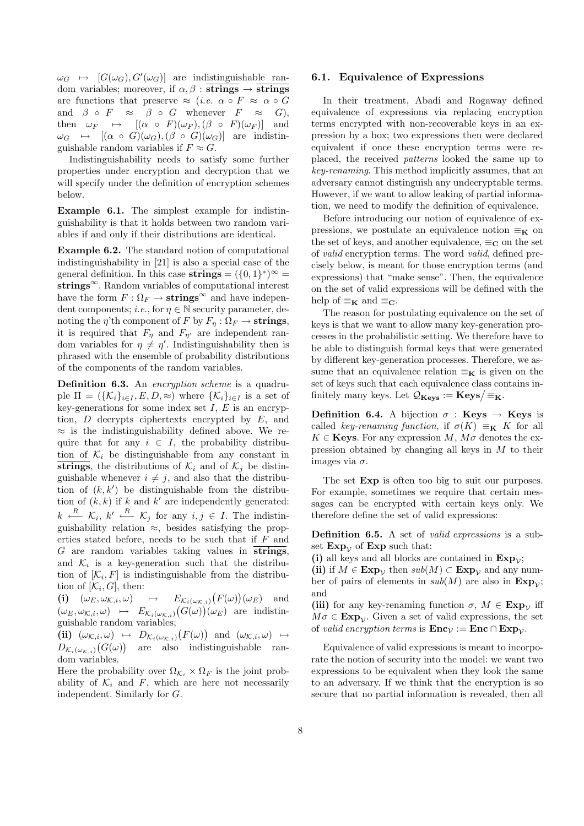$\omega_G \mapsto [G(\omega_G), G'(\omega_G)]$  are indistinguishable random variables; moreover, if  $\alpha, \beta$  :  $\overline{strings} \rightarrow \overline{strings}$ are functions that preserve  $\approx$  (*i.e.*  $\alpha \circ F \approx \alpha \circ G$ and  $\beta \circ F \approx \beta \circ G$  whenever  $F \approx G$ ). then  $\omega_F \mapsto [(\alpha \circ F)(\omega_F),(\beta \circ F)(\omega_F)]$  and  $\omega_G \mapsto [(\alpha \circ G)(\omega_G),(\beta \circ G)(\omega_G)]$  are indistinguishable random variables if  $F \approx G$ .

Indistinguishability needs to satisfy some further properties under encryption and decryption that we will specify under the definition of encryption schemes below.

Example 6.1. The simplest example for indistinguishability is that it holds between two random variables if and only if their distributions are identical.

Example 6.2. The standard notion of computational indistinguishability in [21] is also a special case of the general definition. In this case  $\overline{\text{strings}} = (\{0,1\}^*)^{\infty} =$ strings $\infty$ . Random variables of computational interest have the form  $F: \Omega_F \to \text{strings}^{\infty}$  and have independent components; *i.e.*, for  $\eta \in \mathbb{N}$  security parameter, denoting the  $\eta$ 'th component of F by  $F_{\eta}: \Omega_F \to \textbf{strings},$ it is required that  $F_{\eta}$  and  $F_{\eta'}$  are independent random variables for  $\eta \neq \eta'$ . Indistinguishability then is phrased with the ensemble of probability distributions of the components of the random variables.

Definition 6.3. An encryption scheme is a quadruple  $\Pi = (\{\mathcal{K}_i\}_{i\in I}, E, D, \approx)$  where  $\{\mathcal{K}_i\}_{i\in I}$  is a set of key-generations for some index set  $I, E$  is an encryption,  $D$  decrypts ciphertexts encrypted by  $E$ , and  $\approx$  is the indistinguishability defined above. We require that for any  $i \in I$ , the probability distribution of  $\mathcal{K}_i$  be distinguishable from any constant in strings, the distributions of  $\mathcal{K}_i$  and of  $\mathcal{K}_j$  be distinguishable whenever  $i \neq j$ , and also that the distribution of  $(k, k')$  be distinguishable from the distribution of  $(k, k)$  if k and k' are independently generated:  $k \stackrel{R}{\longleftarrow} \mathcal{K}_i, k' \stackrel{R}{\longleftarrow} \mathcal{K}_j$  for any  $i, j \in I$ . The indistinguishability relation  $\approx$ , besides satisfying the properties stated before, needs to be such that if F and  $G$  are random variables taking values in  $\overline{strings}$ , and  $\mathcal{K}_i$  is a key-generation such that the distribution of  $[\mathcal{K}_i, F]$  is indistinguishable from the distribution of  $[\mathcal{K}_i, G]$ , then: ¡ ¢

(i)  $(\omega_E, \omega_{\mathcal{K},i}, \omega) \rightarrow E_{\mathcal{K}_i(\omega_{\mathcal{K},i})}$  $F(\omega)$  $E_{\mathcal{K}_i(\omega_{\mathcal{K},i})}(F(\omega))(\omega_E)$  and  $(\omega_E, \omega_{\mathcal{K},i}, \omega) \mapsto E_{\mathcal{K}_i(\omega_{\mathcal{K},i})}(G(\omega))(\omega_E)$  are indistinguishable random variables; ¡ ¢

(ii)  $(\omega_{\mathcal{K},i}, \omega) \mapsto D_{\mathcal{K}_i(\omega_{\mathcal{K},i})}$  $F(\omega)$  $(a_i, \omega) \mapsto D_{\mathcal{K}_i(\omega_{\mathcal{K},i})}(F(\omega))$  and  $(\omega_{\mathcal{K},i}, \omega) \mapsto$  $D_{\mathcal{K}_i(\omega_{\mathcal{K},i})}(G(\omega))$  are also indistinguishable random variables.

Here the probability over  $\Omega_{\mathcal{K}_i} \times \Omega_F$  is the joint probability of  $\mathcal{K}_i$  and F, which are here not necessarily independent. Similarly for G.

#### 6.1. Equivalence of Expressions

In their treatment, Abadi and Rogaway defined equivalence of expressions via replacing encryption terms encrypted with non-recoverable keys in an expression by a box; two expressions then were declared equivalent if once these encryption terms were replaced, the received patterns looked the same up to key-renaming. This method implicitly assumes, that an adversary cannot distinguish any undecryptable terms. However, if we want to allow leaking of partial information, we need to modify the definition of equivalence.

Before introducing our notion of equivalence of expressions, we postulate an equivalence notion  $\equiv_{\mathbf{K}}$  on the set of keys, and another equivalence,  $\equiv_{\mathbf{C}}$  on the set of valid encryption terms. The word valid, defined precisely below, is meant for those encryption terms (and expressions) that "make sense". Then, the equivalence on the set of valid expressions will be defined with the help of  $\equiv_{\mathbf{K}}$  and  $\equiv_{\mathbf{C}}$ .

The reason for postulating equivalence on the set of keys is that we want to allow many key-generation processes in the probabilistic setting. We therefore have to be able to distinguish formal keys that were generated by different key-generation processes. Therefore, we assume that an equivalence relation  $\equiv_K$  is given on the set of keys such that each equivalence class contains inset or keys such that each equivalence class col<br>finitely many keys. Let  $\mathcal{Q}_{\mathbf{Keys}}:=\mathbf{Keys}/\text{F}_{\mathbf{K}}.$ 

**Definition 6.4.** A bijection  $\sigma$  : **Keys**  $\rightarrow$  **Keys** is called key-renaming function, if  $\sigma(K) \equiv_K K$  for all  $K \in \mathbf{K}$ evs. For any expression M,  $M\sigma$  denotes the expression obtained by changing all keys in  $M$  to their images via  $\sigma$ .

The set  $Exp$  is often too big to suit our purposes. For example, sometimes we require that certain messages can be encrypted with certain keys only. We therefore define the set of valid expressions:

Definition 6.5. A set of *valid expressions* is a subset  $Exp_{\mathcal{V}}$  of  $Exp$  such that:

(i) all keys and all blocks are contained in  $Exp_{\mathcal{V}}$ ;

(ii) if  $M \in \mathbf{Exp}_{\mathcal{V}}$  then  $sub(M) \subset \mathbf{Exp}_{\mathcal{V}}$  and any number of pairs of elements in  $sub(M)$  are also in  $Exp_{\mathcal{V}}$ ; and

(iii) for any key-renaming function  $\sigma$ ,  $M \in \mathbf{Exp}_{\mathcal{V}}$  iff  $M\sigma \in \mathbf{Exp}_{\mathcal{V}}$ . Given a set of valid expressions, the set of valid encryption terms is  $\text{Enc}_{\mathcal{V}} := \text{Enc} \cap \text{Exp}_{\mathcal{V}}$ .

Equivalence of valid expressions is meant to incorporate the notion of security into the model: we want two expressions to be equivalent when they look the same to an adversary. If we think that the encryption is so secure that no partial information is revealed, then all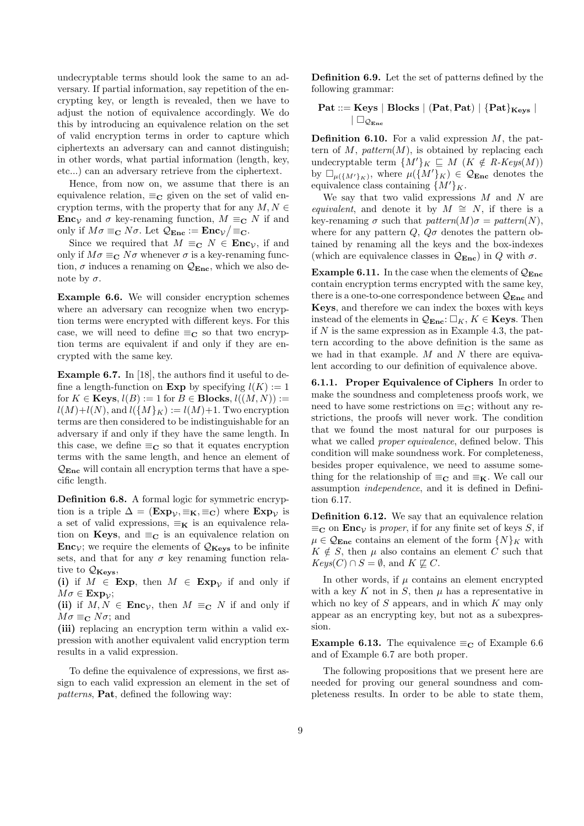undecryptable terms should look the same to an adversary. If partial information, say repetition of the encrypting key, or length is revealed, then we have to adjust the notion of equivalence accordingly. We do this by introducing an equivalence relation on the set of valid encryption terms in order to capture which ciphertexts an adversary can and cannot distinguish; in other words, what partial information (length, key, etc...) can an adversary retrieve from the ciphertext.

Hence, from now on, we assume that there is an equivalence relation,  $\equiv_C$  given on the set of valid encryption terms, with the property that for any  $M, N \in$ **Enc** $\mathcal{V}$  and  $\sigma$  key-renaming function,  $M \equiv_{\mathbf{C}} N$  if and only if  $M\sigma \equiv_{\mathbf{C}} N\sigma$ . Let  $\mathcal{Q}_{\text{Enc}} := \text{Enc}_{\mathcal{V}} / \equiv_{\mathbf{C}}$ .

Since we required that  $M \equiv_{\mathbf{C}} N \in \mathbf{Enc}_{\mathcal{V}}$ , if and only if  $M\sigma \equiv_{\mathbf{C}} N\sigma$  whenever  $\sigma$  is a key-renaming function,  $\sigma$  induces a renaming on  $\mathcal{Q}_{\text{Enc}}$ , which we also denote by  $\sigma$ .

Example 6.6. We will consider encryption schemes where an adversary can recognize when two encryption terms were encrypted with different keys. For this case, we will need to define  $\equiv_C$  so that two encryption terms are equivalent if and only if they are encrypted with the same key.

Example 6.7. In [18], the authors find it useful to define a length-function on **Exp** by specifying  $l(K) := 1$ for  $K \in \mathbf{Keys}, l(B) := 1$  for  $B \in \mathbf{Blocks}, l((M, N)) :=$  $l(M)+l(N)$ , and  $l({M}_{K}) := l(M)+1$ . Two encryption terms are then considered to be indistinguishable for an adversary if and only if they have the same length. In this case, we define  $\equiv_{\mathbf{C}}$  so that it equates encryption terms with the same length, and hence an element of  $\mathcal{Q}_{\text{Enc}}$  will contain all encryption terms that have a specific length.

Definition 6.8. A formal logic for symmetric encryption is a triple  $\Delta = (\mathbf{Exp}_{\mathcal{V}}, \equiv_{\mathbf{K}}, \equiv_{\mathbf{C}})$  where  $\mathbf{Exp}_{\mathcal{V}}$  is a set of valid expressions,  $\equiv_K$  is an equivalence relation on Keys, and  $\equiv_{\mathbf{C}}$  is an equivalence relation on **Enc**<sub>V</sub>; we require the elements of  $Q_{\text{Kevs}}$  to be infinite sets, and that for any  $\sigma$  key renaming function relative to  $\mathcal{Q}_{\mathbf{K}\mathbf{e}\mathbf{y}\mathbf{s}}$ 

(i) if  $M \in \mathbf{Exp}$ , then  $M \in \mathbf{Exp}_\mathcal{V}$  if and only if  $M\sigma \in \mathbf{Exp}_\mathcal{V};$ 

(ii) if  $M, N \in \text{Enc}_{\mathcal{V}}$ , then  $M \equiv_{\mathbf{C}} N$  if and only if  $M\sigma \equiv_{\mathbf{C}} N\sigma$ ; and

(iii) replacing an encryption term within a valid expression with another equivalent valid encryption term results in a valid expression.

To define the equivalence of expressions, we first assign to each valid expression an element in the set of patterns, Pat, defined the following way:

Definition 6.9. Let the set of patterns defined by the following grammar:

$$
\begin{array}{l} \textbf{Pat} ::= \textbf{Keys} \mid \textbf{Blocks} \mid (\textbf{Pat}, \textbf{Pat}) \mid \{\textbf{Pat}\}_{\textbf{Keys}} \mid \\qquad \qquad \mid \Box_{\mathcal{Q}_{\textbf{Enc}}} \end{array}
$$

**Definition 6.10.** For a valid expression  $M$ , the pattern of M,  $pattern(M)$ , is obtained by replacing each undecryptable term  $\{M'\}_K \subseteq M \ (K \notin R\text{-}Keys(M))$ by  $\Box_{\mu(\lbrace M' \rbrace_K)}$ , where  $\mu(\lbrace M' \rbrace_K) \in \mathcal{Q}_{\text{Enc}}$  denotes the equivalence class containing  $\{M'\}_K$ .

We say that two valid expressions  $M$  and  $N$  are equivalent, and denote it by  $M \cong N$ , if there is a key-renaming  $\sigma$  such that  $pattern(M)\sigma = pattern(N)$ , where for any pattern  $Q$ ,  $Q\sigma$  denotes the pattern obtained by renaming all the keys and the box-indexes (which are equivalence classes in  $\mathcal{Q}_{\text{Enc}}$ ) in Q with  $\sigma$ .

**Example 6.11.** In the case when the elements of  $Q_{\text{Enc}}$ contain encryption terms encrypted with the same key, there is a one-to-one correspondence between  $\mathcal{Q}_{\text{Enc}}$  and Keys, and therefore we can index the boxes with keys instead of the elements in  $\mathcal{Q}_{\text{Enc}}: \square_K, K \in \textbf{Keys}$ . Then if  $N$  is the same expression as in Example 4.3, the pattern according to the above definition is the same as we had in that example.  $M$  and  $N$  there are equivalent according to our definition of equivalence above.

6.1.1. Proper Equivalence of Ciphers In order to make the soundness and completeness proofs work, we need to have some restrictions on  $\equiv_{\mathbf{C}}$ ; without any restrictions, the proofs will never work. The condition that we found the most natural for our purposes is what we called *proper equivalence*, defined below. This condition will make soundness work. For completeness, besides proper equivalence, we need to assume something for the relationship of  $\equiv_{\mathbf{C}}$  and  $\equiv_{\mathbf{K}}$ . We call our assumption independence, and it is defined in Definition 6.17.

Definition 6.12. We say that an equivalence relation  $\equiv_{\mathbf{C}}$  on **Enc**<sub>V</sub> is proper, if for any finite set of keys S, if  $\mu \in \mathcal{Q}_{\text{Enc}}$  contains an element of the form  $\{N\}_K$  with  $K \notin S$ , then  $\mu$  also contains an element C such that  $Keys(C) \cap S = \emptyset$ , and  $K \not\sqsubseteq C$ .

In other words, if  $\mu$  contains an element encrypted with a key K not in S, then  $\mu$  has a representative in which no key of  $S$  appears, and in which  $K$  may only appear as an encrypting key, but not as a subexpression.

**Example 6.13.** The equivalence  $\equiv_C$  of Example 6.6 and of Example 6.7 are both proper.

The following propositions that we present here are needed for proving our general soundness and completeness results. In order to be able to state them,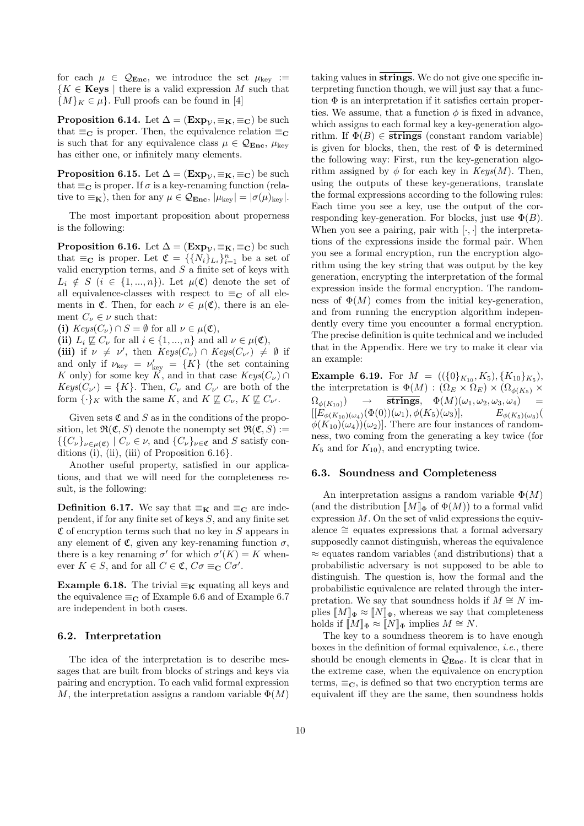for each  $\mu \in \mathcal{Q}_{\text{Enc}}$ , we introduce the set  $\mu_{\text{key}} :=$  ${K \in \mathbf{Keys} \mid \text{there is a valid expression } M \text{ such that}}$  $\{M\}_K \in \mu$ . Full proofs can be found in [4]

**Proposition 6.14.** Let  $\Delta = (\mathbf{Exp}_{\mathcal{V}}, \equiv_{\mathbf{K}}, \equiv_{\mathbf{C}})$  be such that  $\equiv_{\mathbf{C}}$  is proper. Then, the equivalence relation  $\equiv_{\mathbf{C}}$ is such that for any equivalence class  $\mu \in \mathcal{Q}_{\text{Enc}}$ ,  $\mu_{\text{key}}$ has either one, or infinitely many elements.

**Proposition 6.15.** Let  $\Delta = (\mathbf{Exp}_{\mathcal{V}}, \equiv_{\mathbf{K}}, \equiv_{\mathbf{C}})$  be such that  $\equiv_{\mathbf{C}}$  is proper. If  $\sigma$  is a key-renaming function (relative to  $\equiv_{\mathbf{K}}$ ), then for any  $\mu \in \mathcal{Q}_{\text{Enc}}$ ,  $|\mu_{\text{kev}}| = |\sigma(\mu)_{\text{kev}}|$ .

The most important proposition about properness is the following:

**Proposition 6.16.** Let  $\Delta = (\mathbf{Exp}_{\mathcal{V}}, \equiv_{\mathbf{K}}, \equiv_{\mathbf{C}})$  be such that  $\equiv_{\mathbf{C}}$  is proper. Let  $\mathfrak{C} = \{\{N_i\}_{L_i}\}_{i=1}^n$  be a set of valid encryption terms, and  $S$  a finite set of keys with  $L_i \notin S$  ( $i \in \{1, ..., n\}$ ). Let  $\mu(\mathfrak{C})$  denote the set of all equivalence-classes with respect to  $\equiv_{\mathbf{C}}$  of all elements in  $\mathfrak{C}$ . Then, for each  $\nu \in \mu(\mathfrak{C})$ , there is an element  $C_{\nu} \in \nu$  such that:

(i)  $Keys(C_{\nu}) \cap S = \emptyset$  for all  $\nu \in \mu(\mathfrak{C}),$ 

(ii)  $L_i \not\sqsubseteq C_{\nu}$  for all  $i \in \{1, ..., n\}$  and all  $\nu \in \mu(\mathfrak{C}),$ (iii) if  $\nu \neq \nu'$ , then  $Keys(C_{\nu}) \cap Keys(C_{\nu'}) \neq \emptyset$  if and only if  $\nu_{\text{key}} = \nu'_{\text{key}} = \{K\}$  (the set containing K only) for some key K, and in that case  $Keys(C_{\nu}) \cap$  $Keys(C_{\nu'}) = \{K\}.$  Then,  $C_{\nu}$  and  $C_{\nu'}$  are both of the form  $\{\cdot\}_K$  with the same K, and  $K \not\sqsubseteq C_{\nu}$ ,  $K \not\sqsubseteq C_{\nu'}$ .

Given sets  $\mathfrak C$  and  $S$  as in the conditions of the proposition, let  $\mathfrak{R}(\mathfrak{C},S)$  denote the nonempty set  $\mathfrak{R}(\mathfrak{C},S)$ :=  $\{C_{\nu}\}_{\nu\in\mu(\mathfrak{C})}\mid C_{\nu}\in\nu$ , and  $\{C_{\nu}\}_{\nu\in\mathfrak{C}}$  and S satisfy conditions (i), (ii), (iii) of Proposition  $6.16$ .

Another useful property, satisfied in our applications, and that we will need for the completeness result, is the following:

**Definition 6.17.** We say that  $\equiv_K$  and  $\equiv_C$  are independent, if for any finite set of keys S, and any finite set  $\mathfrak C$  of encryption terms such that no key in S appears in any element of  $\mathfrak{C}$ , given any key-renaming function  $\sigma$ , there is a key renaming  $\sigma'$  for which  $\sigma'(K) = K$  whenever  $K \in S$ , and for all  $C \in \mathfrak{C}$ ,  $C\sigma \equiv_{\mathbf{C}} C\sigma'$ .

Example 6.18. The trivial  $\equiv_K$  equating all keys and the equivalence  $\equiv_C$  of Example 6.6 and of Example 6.7 are independent in both cases.

#### 6.2. Interpretation

The idea of the interpretation is to describe messages that are built from blocks of strings and keys via pairing and encryption. To each valid formal expression M, the interpretation assigns a random variable  $\Phi(M)$ 

taking values in strings. We do not give one specific interpreting function though, we will just say that a function  $\Phi$  is an interpretation if it satisfies certain properties. We assume, that a function  $\phi$  is fixed in advance, which assigns to each formal key a key-generation algorithm. If  $\Phi(B) \in \overline{\text{strings}}$  (constant random variable) is given for blocks, then, the rest of  $\Phi$  is determined the following way: First, run the key-generation algorithm assigned by  $\phi$  for each key in  $Keys(M)$ . Then, using the outputs of these key-generations, translate the formal expressions according to the following rules: Each time you see a key, use the output of the corresponding key-generation. For blocks, just use  $\Phi(B)$ . When you see a pairing, pair with  $[\cdot, \cdot]$  the interpretations of the expressions inside the formal pair. When you see a formal encryption, run the encryption algorithm using the key string that was output by the key generation, encrypting the interpretation of the formal expression inside the formal encryption. The randomness of  $\Phi(M)$  comes from the initial key-generation, and from running the encryption algorithm independently every time you encounter a formal encryption. The precise definition is quite technical and we included that in the Appendix. Here we try to make it clear via an example:

**Example 6.19.** For  $M = (({0}_{K_{10}}, K_5), {K_{10}}_{K_5}),$ the interpretation is  $\Phi(M) : (\Omega_E \times \Omega_E) \times (\Omega_{\phi(K_5)} \times$  $\Omega_{\phi(K_{10})}) \rightarrow \overline{\text{strings}}, \quad \Phi(M)(\omega_1, \omega_2, \omega_3, \omega_4) =$  $[[E_{\phi(K_{10})(\omega_4)}(\Phi(0))(\omega_1), \phi(K_5)(\omega_3)], \qquad E_{\phi(K_5)(\omega_3)}($  $\phi(K_{10})(\omega_4)(\omega_2)$ . There are four instances of randomness, two coming from the generating a key twice (for  $K_5$  and for  $K_{10}$ ), and encrypting twice.

#### 6.3. Soundness and Completeness

An interpretation assigns a random variable  $\Phi(M)$ (and the distribution  $[M]_{\Phi}$  of  $\Phi(M)$ ) to a formal valid expression  $M$ . On the set of valid expressions the equivalence ∼= equates expressions that a formal adversary supposedly cannot distinguish, whereas the equivalence  $\approx$  equates random variables (and distributions) that a probabilistic adversary is not supposed to be able to distinguish. The question is, how the formal and the probabilistic equivalence are related through the interpretation. We say that soundness holds if  $M \cong N$  implies  $[M]_{\Phi} \approx [N]_{\Phi}$ , whereas we say that completeness holds if  $[M]_{\Phi} \approx [N]_{\Phi}$  implies  $M \cong N$ .

The key to a soundness theorem is to have enough boxes in the definition of formal equivalence, *i.e.*, there should be enough elements in  $\mathcal{Q}_{\text{Enc}}$ . It is clear that in the extreme case, when the equivalence on encryption terms,  $\equiv_{\mathbf{C}}$ , is defined so that two encryption terms are equivalent iff they are the same, then soundness holds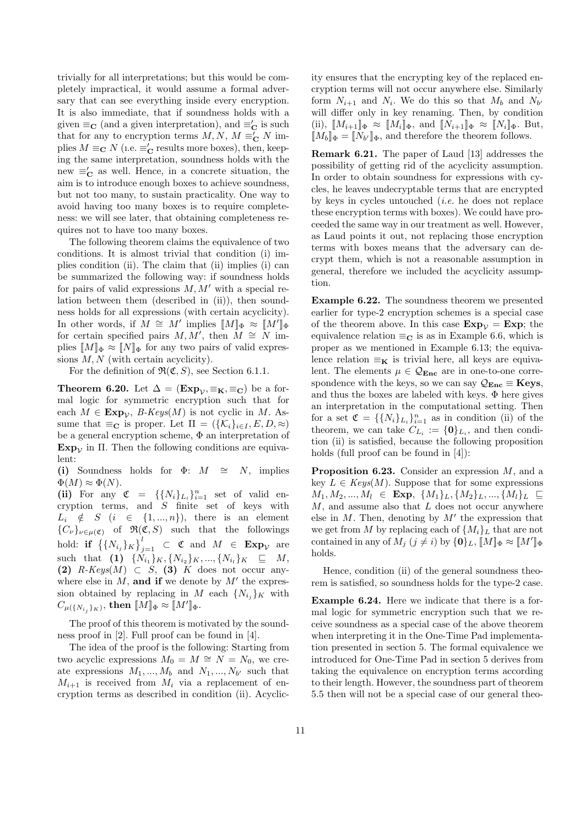trivially for all interpretations; but this would be completely impractical, it would assume a formal adversary that can see everything inside every encryption. It is also immediate, that if soundness holds with a given  $\equiv_{\mathbf{C}}$  (and a given interpretation), and  $\equiv'_{\mathbf{C}}$  is such that for any to encryption terms  $M, N, M \equiv_{\mathbf{C}}' N$  implies  $M \equiv_{\mathbf{C}} N$  (i.e.  $\equiv'_{\mathbf{C}}$  results more boxes), then, keeping the same interpretation, soundness holds with the new  $\equiv_{\mathbf{C}}'$  as well. Hence, in a concrete situation, the aim is to introduce enough boxes to achieve soundness, but not too many, to sustain practicality. One way to avoid having too many boxes is to require completeness: we will see later, that obtaining completeness requires not to have too many boxes.

The following theorem claims the equivalence of two conditions. It is almost trivial that condition (i) implies condition (ii). The claim that (ii) implies (i) can be summarized the following way: if soundness holds for pairs of valid expressions  $M, M'$  with a special relation between them (described in (ii)), then soundness holds for all expressions (with certain acyclicity). In other words, if  $M \cong M'$  implies  $\llbracket M \rrbracket_{\Phi} \approx \llbracket M' \rrbracket_{\Phi}$ for certain specified pairs  $M, M'$ , then  $M \cong N$  implies  $[M]_{\Phi} \approx [N]_{\Phi}$  for any two pairs of valid expressions  $M, N$  (with certain acyclicity).

For the definition of  $\mathfrak{R}(\mathfrak{C},S)$ , see Section 6.1.1.

**Theorem 6.20.** Let  $\Delta = (\mathbf{Exp}_{\mathcal{V}}, \equiv_{\mathbf{K}}, \equiv_{\mathbf{C}})$  be a formal logic for symmetric encryption such that for each  $M \in \mathbf{Exp}_{\mathcal{V}}$ , B-Keys(M) is not cyclic in M. Assume that  $\equiv_{\mathbf{C}}$  is proper. Let  $\Pi = (\{\mathcal{K}_i\}_{i \in I}, E, D, \approx)$ be a general encryption scheme, Φ an interpretation of  $Exp_{\mathcal{V}}$  in  $\Pi$ . Then the following conditions are equivalent:

(i) Soundness holds for  $\Phi$ :  $M \cong N$ , implies  $\Phi(M) \approx \Phi(N)$ .

(ii) For any  $\mathfrak{C} = \{ \{ N_i \}_{L_i} \}_{i=1}^n$  set of valid encryption terms, and  $S$  finite set of keys with  $L_i \notin S \ (i \in \{1, ..., n\}),$  there is an element  ${C<sub>ν</sub>}<sub>ν∈μ(</sub>ε)$  of  $\Re$ (**c**, *S*) such that the followings hold: if  $\left\{ \{N_{i_j}\}_K \right\}^l_i$  $\sum_{j=1}^{\ell}$   $\subset$  C and  $M \in \mathbf{Exp}_{\mathcal{V}}$  are such that  $(1) \{N_{i_1}\}_K, \{N_{i_2}\}_K, ..., \{N_{i_l}\}_K \subseteq M$ , (2)  $R\text{-}Keys(M) \subset S$ , (3) K does not occur anywhere else in  $M$ , and if we denote by  $M'$  the expression obtained by replacing in M each  $\{N_{i_j}\}_K$  with  $C_{\mu(\{N_{i_j}\}_K)}, \,\text{then} \,\,\llbracket M\rrbracket_\Phi\approx \llbracket M'\rrbracket_\Phi.$ 

The proof of this theorem is motivated by the soundness proof in [2]. Full proof can be found in [4].

The idea of the proof is the following: Starting from two acyclic expressions  $M_0 = M \cong N = N_0$ , we create expressions  $M_1, ..., M_b$  and  $N_1, ..., N_{b'}$  such that  $M_{i+1}$  is received from  $M_i$  via a replacement of encryption terms as described in condition (ii). Acyclicity ensures that the encrypting key of the replaced encryption terms will not occur anywhere else. Similarly form  $N_{i+1}$  and  $N_i$ . We do this so that  $M_b$  and  $N_{b'}$ will differ only in key renaming. Then, by condition (ii),  $\llbracket M_{i+1} \rrbracket_{\Phi} \approx \llbracket M_i \rrbracket_{\Phi}$ , and  $\llbracket N_{i+1} \rrbracket_{\Phi} \approx \llbracket N_i \rrbracket_{\Phi}$ . But,  $[M_b]_{\Phi} = [N_{b'}]_{\Phi}$ , and therefore the theorem follows.

Remark 6.21. The paper of Laud [13] addresses the possibility of getting rid of the acyclicity assumption. In order to obtain soundness for expressions with cycles, he leaves undecryptable terms that are encrypted by keys in cycles untouched (i.e. he does not replace these encryption terms with boxes). We could have proceeded the same way in our treatment as well. However, as Laud points it out, not replacing those encryption terms with boxes means that the adversary can decrypt them, which is not a reasonable assumption in general, therefore we included the acyclicity assumption.

Example 6.22. The soundness theorem we presented earlier for type-2 encryption schemes is a special case of the theorem above. In this case  $Exp_1$  =  $Exp$ ; the equivalence relation  $\equiv_{\mathbf{C}}$  is as in Example 6.6, which is proper as we mentioned in Example 6.13; the equivalence relation  $\equiv_{\mathbf{K}}$  is trivial here, all keys are equivalent. The elements  $\mu \in \mathcal{Q}_{\text{Enc}}$  are in one-to-one correspondence with the keys, so we can say  $\mathcal{Q}_{\text{Enc}} \equiv \textbf{Keys}$ , and thus the boxes are labeled with keys.  $\Phi$  here gives an interpretation in the computational setting. Then for a set  $\mathfrak{C} = \{\{N_i\}_{L_i}\}_{i=1}^n$  as in condition (ii) of the theorem, we can take  $C_{L_i} := \{0\}_{L_i}$ , and then condition (ii) is satisfied, because the following proposition holds (full proof can be found in [4]):

**Proposition 6.23.** Consider an expression  $M$ , and a key  $L \in Keys(M)$ . Suppose that for some expressions  $M_1, M_2, ..., M_l \in \textbf{Exp}, \ \{M_1\}_L, \{M_2\}_L, ..., \{M_l\}_L \subseteq$  $M$ , and assume also that  $L$  does not occur anywhere else in  $M$ . Then, denoting by  $M'$  the expression that we get from M by replacing each of  $\{M_i\}_L$  that are not contained in any of  $M_j$   $(j \neq i)$  by  $\{0\}_L$ ,  $\llbracket M \rrbracket_{\Phi} \approx \llbracket M' \rrbracket_{\Phi}$ holds.

Hence, condition (ii) of the general soundness theorem is satisfied, so soundness holds for the type-2 case.

Example 6.24. Here we indicate that there is a formal logic for symmetric encryption such that we receive soundness as a special case of the above theorem when interpreting it in the One-Time Pad implementation presented in section 5. The formal equivalence we introduced for One-Time Pad in section 5 derives from taking the equivalence on encryption terms according to their length. However, the soundness part of theorem 5.5 then will not be a special case of our general theo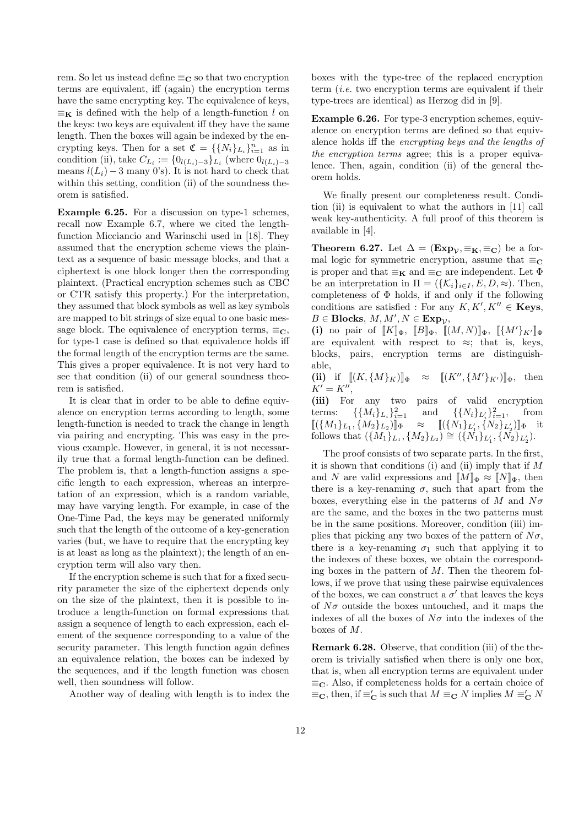rem. So let us instead define  $\equiv_{\mathbf{C}}$  so that two encryption terms are equivalent, iff (again) the encryption terms have the same encrypting key. The equivalence of keys,  $\equiv_{\mathbf{K}}$  is defined with the help of a length-function l on the keys: two keys are equivalent iff they have the same length. Then the boxes will again be indexed by the encrypting keys. Then for a set  $\mathfrak{C} = \{\{N_i\}_{L_i}\}_{i=1}^n$  as in condition (ii), take  $C_{L_i} := \{0_{l(L_i)-3}\}_{L_i}$  (where  $0_{l(L_i)-3}$ ) means  $l(L_i) - 3$  many 0's). It is not hard to check that within this setting, condition (ii) of the soundness theorem is satisfied.

Example 6.25. For a discussion on type-1 schemes, recall now Example 6.7, where we cited the lengthfunction Micciancio and Warinschi used in [18]. They assumed that the encryption scheme views the plaintext as a sequence of basic message blocks, and that a ciphertext is one block longer then the corresponding plaintext. (Practical encryption schemes such as CBC or CTR satisfy this property.) For the interpretation, they assumed that block symbols as well as key symbols are mapped to bit strings of size equal to one basic message block. The equivalence of encryption terms,  $\equiv_C$ , for type-1 case is defined so that equivalence holds iff the formal length of the encryption terms are the same. This gives a proper equivalence. It is not very hard to see that condition (ii) of our general soundness theorem is satisfied.

It is clear that in order to be able to define equivalence on encryption terms according to length, some length-function is needed to track the change in length via pairing and encrypting. This was easy in the previous example. However, in general, it is not necessarily true that a formal length-function can be defined. The problem is, that a length-function assigns a specific length to each expression, whereas an interpretation of an expression, which is a random variable, may have varying length. For example, in case of the One-Time Pad, the keys may be generated uniformly such that the length of the outcome of a key-generation varies (but, we have to require that the encrypting key is at least as long as the plaintext); the length of an encryption term will also vary then.

If the encryption scheme is such that for a fixed security parameter the size of the ciphertext depends only on the size of the plaintext, then it is possible to introduce a length-function on formal expressions that assign a sequence of length to each expression, each element of the sequence corresponding to a value of the security parameter. This length function again defines an equivalence relation, the boxes can be indexed by the sequences, and if the length function was chosen well, then soundness will follow.

Another way of dealing with length is to index the

boxes with the type-tree of the replaced encryption term  $(i.e.$  two encryption terms are equivalent if their type-trees are identical) as Herzog did in [9].

Example 6.26. For type-3 encryption schemes, equivalence on encryption terms are defined so that equivalence holds iff the encrypting keys and the lengths of the encryption terms agree; this is a proper equivalence. Then, again, condition (ii) of the general theorem holds.

We finally present our completeness result. Condition (ii) is equivalent to what the authors in [11] call weak key-authenticity. A full proof of this theorem is available in [4].

**Theorem 6.27.** Let  $\Delta = (\mathbf{Exp}_{\mathcal{V}}, \equiv_{\mathbf{K}}, \equiv_{\mathbf{C}})$  be a formal logic for symmetric encryption, assume that  $\equiv_{\mathbb{C}}$ is proper and that  $\equiv_K$  and  $\equiv_C$  are independent. Let  $\Phi$ be an interpretation in  $\Pi = (\{\mathcal{K}_i\}_{i \in I}, E, D, \approx)$ . Then, completeness of  $\Phi$  holds, if and only if the following conditions are satisfied : For any  $K, K', K'' \in \mathbf{Keys},$  $B \in \text{Blocks}, M, M', N \in \text{Exp}_{\mathcal{V}},$ 

(i) no pair of  $[[K]]_{\Phi}$ ,  $[[B]]_{\Phi}$ ,  $[[(M, N)]]_{\Phi}$ ,  $[[\{M'\}_{K'}]]_{\Phi}$ are equivalent with respect to  $\approx$ ; that is, keys, blocks, pairs, encryption terms are distinguishable,

(ii) if  $[(K, {M}_K)]_{\Phi} \approx [[K'', {M'}_{K'})]_{\Phi}$ , then  $K' = K''$ ,

(iii) For any two pairs of valid encryption terms:  $\{\{M_i\}_{L_i}\}_{i=1}^2$  $\frac{2}{i=1}$  and  $\{\{N_i\}_{L'_i}\}_{i=1}^2$ , from  $\llbracket (\{M_1\}_{L_1}, \{M_2\}_{L_2}$  $[\![\{\overline{N}_1\}_{{L}_1'}, \{\overline{N}_2\}_{{L}_2'}]\!]_{\Phi}$  it follows that  $({M_1})_{L_1}, ({M_2})_{L_2} \cong ({N_1})_{L'_1}, ({N_2})_{L'_2}$ .

The proof consists of two separate parts. In the first, it is shown that conditions (i) and (ii) imply that if  $M$ and N are valid expressions and  $[M]_{\Phi} \approx [N]_{\Phi}$ , then there is a key-renaming  $\sigma$ , such that apart from the boxes, everything else in the patterns of M and  $N\sigma$ are the same, and the boxes in the two patterns must be in the same positions. Moreover, condition (iii) implies that picking any two boxes of the pattern of  $N\sigma$ , there is a key-renaming  $\sigma_1$  such that applying it to the indexes of these boxes, we obtain the corresponding boxes in the pattern of  $M$ . Then the theorem follows, if we prove that using these pairwise equivalences of the boxes, we can construct a  $\sigma'$  that leaves the keys of  $N\sigma$  outside the boxes untouched, and it maps the indexes of all the boxes of  $N\sigma$  into the indexes of the boxes of M.

Remark 6.28. Observe, that condition (iii) of the theorem is trivially satisfied when there is only one box, that is, when all encryption terms are equivalent under  $\equiv_{\mathbf{C}}$ . Also, if completeness holds for a certain choice of  $\equiv_{\mathbf{C}}$ , then, if  $\equiv'_{\mathbf{C}}$  is such that  $M \equiv_{\mathbf{C}} N$  implies  $M \equiv'_{\mathbf{C}} N$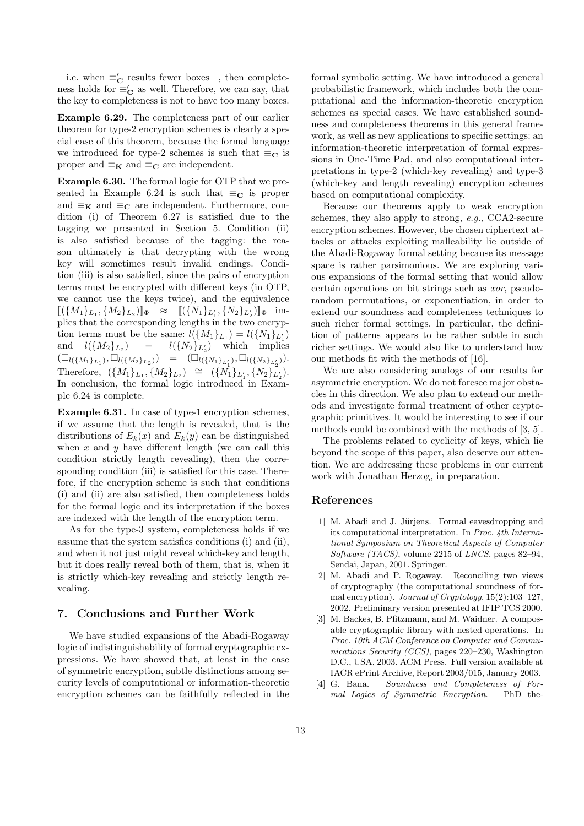– i.e. when  $\equiv'_{\mathbf{C}}$  results fewer boxes –, then completeness holds for  $\equiv'_{\mathbf{C}}$  as well. Therefore, we can say, that the key to completeness is not to have too many boxes.

Example 6.29. The completeness part of our earlier theorem for type-2 encryption schemes is clearly a special case of this theorem, because the formal language we introduced for type-2 schemes is such that  $\equiv_C$  is proper and  $\equiv_{\mathbf{K}}$  and  $\equiv_{\mathbf{C}}$  are independent.

Example 6.30. The formal logic for OTP that we presented in Example 6.24 is such that  $\equiv_{\mathbf{C}}$  is proper and  $\equiv_K$  and  $\equiv_C$  are independent. Furthermore, condition (i) of Theorem 6.27 is satisfied due to the tagging we presented in Section 5. Condition (ii) is also satisfied because of the tagging: the reason ultimately is that decrypting with the wrong key will sometimes result invalid endings. Condition (iii) is also satisfied, since the pairs of encryption terms must be encrypted with different keys (in OTP, we cannot use the keys twice), and the equivalence  $[ (\{M_1\}_{L_1}, \{M_2\}_{L_2})]_{\Phi} \approx [ (\{N_1\}_{L'_1}, \{N_2\}_{L'_2})]_{\Phi}$  implies that the corresponding lengths in the two encryption terms must be the same:  $l({M_1}_{L_1}) = l({N_1}_{L_1})$ and  $l({M_2}_{L_2}) = l({N_2}_{L_2})$  which implies  $(\Box_{l(\{M_1\}_{L_1})}, \Box_{l(\{M_2\}_{L_2})}) = (\Box_{l(\{N_1\}_{L'_1})}, \Box_{l(\{N_2\}_{L'_2})}).$ Therefore,  $({M_1}_{L_1}, {M_2}_{L_2}) \cong ({N_1}_{L'_1}, {N_2}_{L'_2}).$ In conclusion, the formal logic introduced in Example 6.24 is complete.

Example 6.31. In case of type-1 encryption schemes, if we assume that the length is revealed, that is the distributions of  $E_k(x)$  and  $E_k(y)$  can be distinguished when  $x$  and  $y$  have different length (we can call this condition strictly length revealing), then the corresponding condition (iii) is satisfied for this case. Therefore, if the encryption scheme is such that conditions (i) and (ii) are also satisfied, then completeness holds for the formal logic and its interpretation if the boxes are indexed with the length of the encryption term.

As for the type-3 system, completeness holds if we assume that the system satisfies conditions (i) and (ii), and when it not just might reveal which-key and length, but it does really reveal both of them, that is, when it is strictly which-key revealing and strictly length revealing.

## 7. Conclusions and Further Work

We have studied expansions of the Abadi-Rogaway logic of indistinguishability of formal cryptographic expressions. We have showed that, at least in the case of symmetric encryption, subtle distinctions among security levels of computational or information-theoretic encryption schemes can be faithfully reflected in the formal symbolic setting. We have introduced a general probabilistic framework, which includes both the computational and the information-theoretic encryption schemes as special cases. We have established soundness and completeness theorems in this general framework, as well as new applications to specific settings: an information-theoretic interpretation of formal expressions in One-Time Pad, and also computational interpretations in type-2 (which-key revealing) and type-3 (which-key and length revealing) encryption schemes based on computational complexity.

Because our theorems apply to weak encryption schemes, they also apply to strong, e.g., CCA2-secure encryption schemes. However, the chosen ciphertext attacks or attacks exploiting malleability lie outside of the Abadi-Rogaway formal setting because its message space is rather parsimonious. We are exploring various expansions of the formal setting that would allow certain operations on bit strings such as xor, pseudorandom permutations, or exponentiation, in order to extend our soundness and completeness techniques to such richer formal settings. In particular, the definition of patterns appears to be rather subtle in such richer settings. We would also like to understand how our methods fit with the methods of [16].

We are also considering analogs of our results for asymmetric encryption. We do not foresee major obstacles in this direction. We also plan to extend our methods and investigate formal treatment of other cryptographic primitives. It would be interesting to see if our methods could be combined with the methods of [3, 5].

The problems related to cyclicity of keys, which lie beyond the scope of this paper, also deserve our attention. We are addressing these problems in our current work with Jonathan Herzog, in preparation.

#### References

- [1] M. Abadi and J. Jürjens. Formal eavesdropping and its computational interpretation. In Proc. 4th International Symposium on Theoretical Aspects of Computer Software (TACS), volume 2215 of LNCS, pages 82–94, Sendai, Japan, 2001. Springer.
- [2] M. Abadi and P. Rogaway. Reconciling two views of cryptography (the computational soundness of formal encryption). Journal of Cryptology, 15(2):103–127, 2002. Preliminary version presented at IFIP TCS 2000.
- [3] M. Backes, B. Pfitzmann, and M. Waidner. A composable cryptographic library with nested operations. In Proc. 10th ACM Conference on Computer and Communications Security (CCS), pages 220–230, Washington D.C., USA, 2003. ACM Press. Full version available at IACR ePrint Archive, Report 2003/015, January 2003.
- [4] G. Bana. Soundness and Completeness of Formal Logics of Symmetric Encryption. PhD the-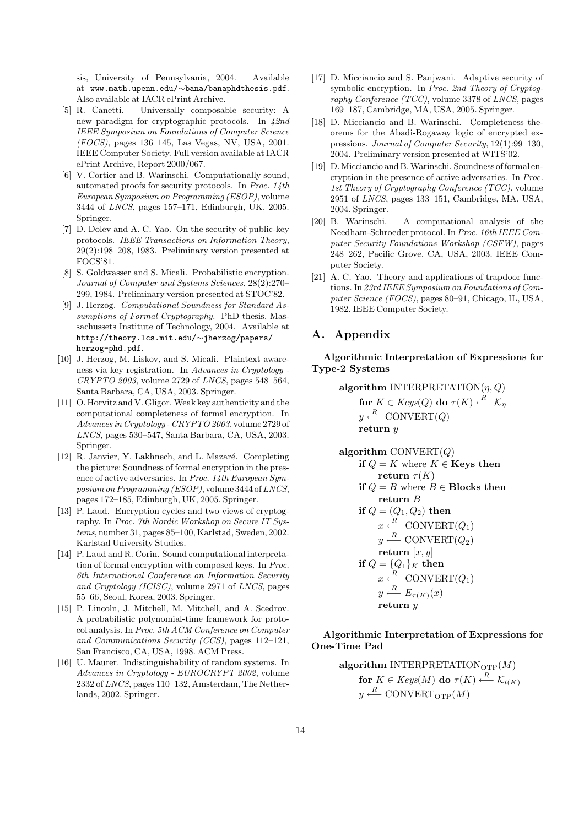sis, University of Pennsylvania, 2004. Available at www.math.upenn.edu/∼bana/banaphdthesis.pdf. Also available at IACR ePrint Archive.

- [5] R. Canetti. Universally composable security: A new paradigm for cryptographic protocols. In 42nd IEEE Symposium on Foundations of Computer Science (FOCS), pages 136–145, Las Vegas, NV, USA, 2001. IEEE Computer Society. Full version available at IACR ePrint Archive, Report 2000/067.
- [6] V. Cortier and B. Warinschi. Computationally sound, automated proofs for security protocols. In Proc. 14th European Symposium on Programming (ESOP), volume 3444 of LNCS, pages 157–171, Edinburgh, UK, 2005. Springer.
- [7] D. Dolev and A. C. Yao. On the security of public-key protocols. IEEE Transactions on Information Theory, 29(2):198–208, 1983. Preliminary version presented at FOCS'81.
- [8] S. Goldwasser and S. Micali. Probabilistic encryption. Journal of Computer and Systems Sciences, 28(2):270– 299, 1984. Preliminary version presented at STOC'82.
- [9] J. Herzog. Computational Soundness for Standard Assumptions of Formal Cryptography. PhD thesis, Massachussets Institute of Technology, 2004. Available at http://theory.lcs.mit.edu/∼jherzog/papers/ herzog-phd.pdf.
- [10] J. Herzog, M. Liskov, and S. Micali. Plaintext awareness via key registration. In Advances in Cryptology - CRYPTO 2003, volume 2729 of LNCS, pages 548–564, Santa Barbara, CA, USA, 2003. Springer.
- [11] O. Horvitz and V. Gligor. Weak key authenticity and the computational completeness of formal encryption. In Advances in Cryptology - CRYPTO 2003, volume 2729 of LNCS, pages 530–547, Santa Barbara, CA, USA, 2003. Springer.
- [12] R. Janvier, Y. Lakhnech, and L. Mazaré. Completing the picture: Soundness of formal encryption in the presence of active adversaries. In Proc. 14th European Sym $position on Programming (ESOP)$ , volume 3444 of LNCS, pages 172–185, Edinburgh, UK, 2005. Springer.
- [13] P. Laud. Encryption cycles and two views of cryptography. In Proc. 7th Nordic Workshop on Secure IT Systems, number 31, pages 85–100, Karlstad, Sweden, 2002. Karlstad University Studies.
- [14] P. Laud and R. Corin. Sound computational interpretation of formal encryption with composed keys. In Proc. 6th International Conference on Information Security and Cryptology (ICISC), volume 2971 of LNCS, pages 55–66, Seoul, Korea, 2003. Springer.
- [15] P. Lincoln, J. Mitchell, M. Mitchell, and A. Scedrov. A probabilistic polynomial-time framework for protocol analysis. In Proc. 5th ACM Conference on Computer and Communications Security (CCS), pages 112–121, San Francisco, CA, USA, 1998. ACM Press.
- [16] U. Maurer. Indistinguishability of random systems. In Advances in Cryptology - EUROCRYPT 2002, volume 2332 of LNCS, pages 110–132, Amsterdam, The Netherlands, 2002. Springer.
- [17] D. Micciancio and S. Panjwani. Adaptive security of symbolic encryption. In Proc. 2nd Theory of Cryptography Conference  $(TCC)$ , volume 3378 of LNCS, pages 169–187, Cambridge, MA, USA, 2005. Springer.
- [18] D. Micciancio and B. Warinschi. Completeness theorems for the Abadi-Rogaway logic of encrypted expressions. Journal of Computer Security, 12(1):99–130, 2004. Preliminary version presented at WITS'02.
- [19] D.Micciancio and B.Warinschi. Soundness of formal encryption in the presence of active adversaries. In Proc. 1st Theory of Cryptography Conference (TCC), volume 2951 of LNCS, pages 133–151, Cambridge, MA, USA, 2004. Springer.
- [20] B. Warinschi. A computational analysis of the Needham-Schroeder protocol. In Proc. 16th IEEE Computer Security Foundations Workshop (CSFW), pages 248–262, Pacific Grove, CA, USA, 2003. IEEE Computer Society.
- [21] A. C. Yao. Theory and applications of trapdoor functions. In 23rd IEEE Symposium on Foundations of Computer Science (FOCS), pages 80–91, Chicago, IL, USA, 1982. IEEE Computer Society.

# A. Appendix

Algorithmic Interpretation of Expressions for Type-2 Systems

> algorithm INTERPRETATION $(\eta, Q)$ for  $K \in Keys(Q)$  do  $\tau(K) \stackrel{R}{\longleftarrow} \mathcal{K}_\eta$  $y \stackrel{R}{\longleftarrow} \text{CONVERT}(Q)$ return y

**algorithm** CONVERT(Q)  
\n**if** 
$$
Q = K
$$
 where  $K \in$  **Keys then**  
\n**return**  $\tau(K)$   
\n**if**  $Q = B$  where  $B \in$  **Blocks then**  
\n**return** B  
\n**if**  $Q = (Q_1, Q_2)$  **then**  
\n $x \stackrel{R}{\longleftarrow} CONVERT(Q_1)$   
\n $y \stackrel{R}{\longleftarrow} CONVERT(Q_2)$   
\n**return** [x, y]  
\n**if**  $Q = \{Q_1\}_K$  **then**  
\n $x \stackrel{R}{\longleftarrow} CONVERT(Q_1)$   
\n $y \stackrel{R}{\longleftarrow} E_{\tau(K)}(x)$   
\n**return** y

## Algorithmic Interpretation of Expressions for One-Time Pad

**algorithm** INTERPRETATION<sub>OTP</sub>(M)  
**for** 
$$
K \in Keys(M)
$$
 **do**  $\tau(K) \xleftarrow{R} \mathcal{K}_{l(K)}$   
 $y \xleftarrow{R}$  CONVERT<sub>OTP</sub>(M)